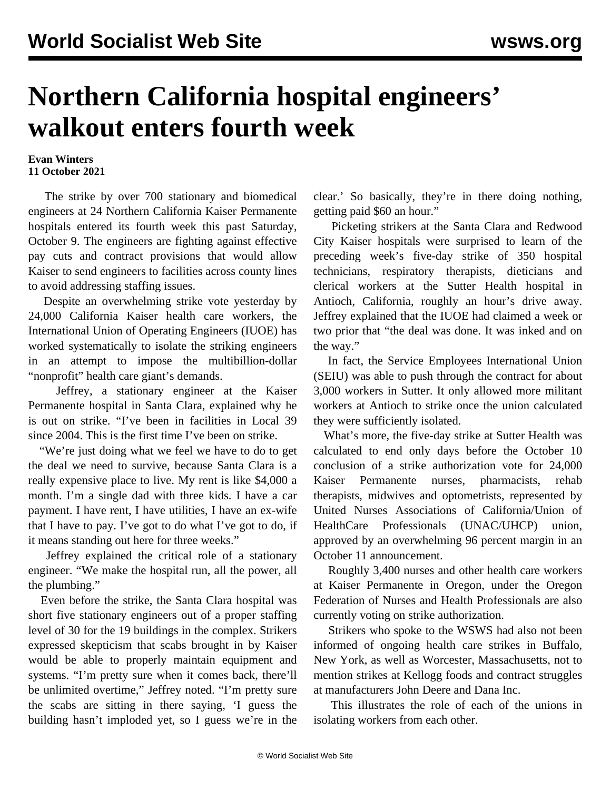## **Northern California hospital engineers' walkout enters fourth week**

## **Evan Winters 11 October 2021**

 The strike by over 700 stationary and biomedical engineers at 24 Northern California Kaiser Permanente hospitals entered its fourth week this past Saturday, October 9. The engineers are fighting against effective pay cuts and contract provisions that would allow Kaiser to send engineers to facilities across county lines to avoid addressing staffing issues.

 Despite an overwhelming strike vote yesterday by 24,000 California Kaiser health care workers, the International Union of Operating Engineers (IUOE) has worked systematically to isolate the striking engineers in an attempt to impose the multibillion-dollar "nonprofit" health care giant's demands.

 Jeffrey, a stationary engineer at the Kaiser Permanente hospital in Santa Clara, explained why he is out on strike. "I've been in facilities in Local 39 since 2004. This is the first time I've been on strike.

 "We're just doing what we feel we have to do to get the deal we need to survive, because Santa Clara is a really expensive place to live. My rent is like \$4,000 a month. I'm a single dad with three kids. I have a car payment. I have rent, I have utilities, I have an ex-wife that I have to pay. I've got to do what I've got to do, if it means standing out here for three weeks."

 Jeffrey explained the critical role of a stationary engineer. "We make the hospital run, all the power, all the plumbing."

 Even before the strike, the Santa Clara hospital was short five stationary engineers out of a proper staffing level of 30 for the 19 buildings in the complex. Strikers expressed skepticism that scabs brought in by Kaiser would be able to properly maintain equipment and systems. "I'm pretty sure when it comes back, there'll be unlimited overtime," Jeffrey noted. "I'm pretty sure the scabs are sitting in there saying, 'I guess the building hasn't imploded yet, so I guess we're in the

clear.' So basically, they're in there doing nothing, getting paid \$60 an hour."

 Picketing strikers at the Santa Clara and Redwood City Kaiser hospitals were surprised to learn of the preceding week's [five-day strike](/en/articles/2021/10/05/sutt-o05.html) of 350 hospital technicians, respiratory therapists, dieticians and clerical workers at the Sutter Health hospital in Antioch, California, roughly an hour's drive away. Jeffrey explained that the IUOE had claimed a week or two prior that "the deal was done. It was inked and on the way."

 In fact, the Service Employees International Union (SEIU) was able to push through the contract for about 3,000 workers in Sutter. It only allowed more militant workers at Antioch to strike once the union calculated they were sufficiently isolated.

 What's more, the five-day strike at Sutter Health was calculated to end only days before the October 10 conclusion of a strike authorization vote for 24,000 Kaiser Permanente nurses, pharmacists, rehab therapists, midwives and optometrists, represented by United Nurses Associations of California/Union of HealthCare Professionals (UNAC/UHCP) union, approved by an overwhelming 96 percent margin in an October 11 announcement.

 Roughly 3,400 nurses and other health care workers at Kaiser Permanente in Oregon, under the Oregon Federation of Nurses and Health Professionals are also currently [voting on strike authorization](/en/articles/2021/10/07/perm-o07.html).

 Strikers who spoke to the WSWS had also not been informed of ongoing health care strikes in [Buffalo,](/en/articles/2021/10/02/buff-o02.html) [New York](/en/articles/2021/10/02/buff-o02.html), as well as [Worcester, Massachusetts,](/en/articles/2021/09/08/vinc-s08.html) not to mention strikes at Kellogg foods and contract struggles at manufacturers [John Deere](/en/articles/2021/10/08/deer-o08.html) and [Dana](/en/topics/workersCategory/dana-autoworkers-contract-struggle-2021) Inc.

 This illustrates the role of each of the unions in isolating workers from each other.